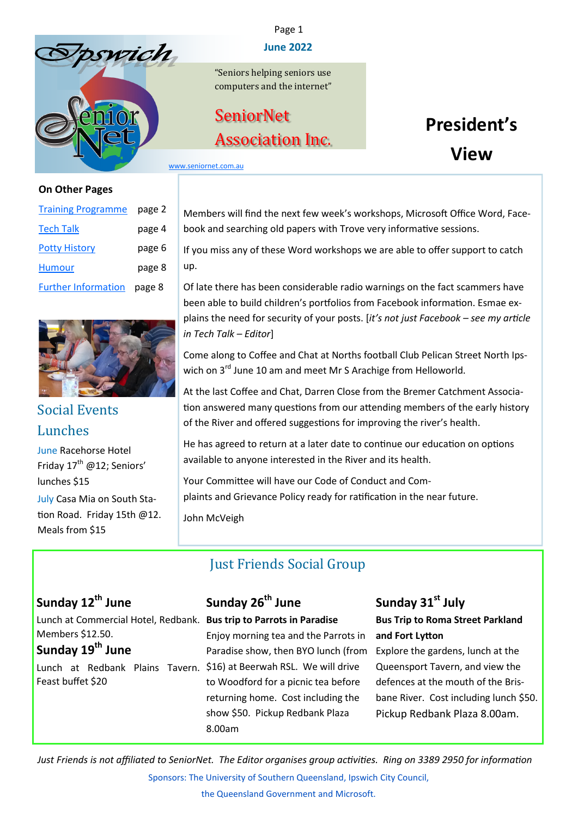<span id="page-0-0"></span>



#### **On Other Pages**

| <b>Training Programme</b>  | page 2 |  |
|----------------------------|--------|--|
| <u>Tech Talk</u>           | page 4 |  |
| <b>Potty History</b>       | page 6 |  |
| <b>Humour</b>              | page 8 |  |
| <b>Further Information</b> | page 8 |  |



## Social Events Lunches

June Racehorse Hotel Friday  $17^{\text{th}}$  @12: Seniors' lunches \$15 July Casa Mia on South Station Road. Friday 15th @12. Meals from \$15

#### Page 1

#### **June 2022**

"Seniors helping seniors use computers and the internet"

# **SeniorNet** Association Inc.

# **President's View**

[www.seniornet.com.au](http://www.seniornet.com.au)

Members will find the next few week's workshops, Microsoft Office Word, Facebook and searching old papers with Trove very informative sessions.

If you miss any of these Word workshops we are able to offer support to catch up.

Of late there has been considerable radio warnings on the fact scammers have been able to build children's portfolios from Facebook information. Esmae explains the need for security of your posts. [*it's not just Facebook – see my article in Tech Talk – Editor*]

Come along to Coffee and Chat at Norths football Club Pelican Street North Ipswich on 3<sup>rd</sup> June 10 am and meet Mr S Arachige from Helloworld.

At the last Coffee and Chat, Darren Close from the Bremer Catchment Association answered many questions from our attending members of the early history of the River and offered suggestions for improving the river's health.

He has agreed to return at a later date to continue our education on options available to anyone interested in the River and its health.

Your Committee will have our Code of Conduct and Complaints and Grievance Policy ready for ratification in the near future.

John McVeigh

## Just Friends Social Group

## **Sunday 12th June**

Lunch at Commercial Hotel, Redbank. **Bus trip to Parrots in Paradise** Members \$12.50.

## **Sunday 19th June**

Lunch at Redbank Plains Tavern. \$16) at Beerwah RSL. We will drive Feast buffet \$20

## **Sunday 26th June**

Enjoy morning tea and the Parrots in Paradise show, then BYO lunch (from to Woodford for a picnic tea before returning home. Cost including the show \$50. Pickup Redbank Plaza 8.00am

## **Sunday 31st July**

**Bus Trip to Roma Street Parkland and Fort Lytton**

Explore the gardens, lunch at the Queensport Tavern, and view the defences at the mouth of the Brisbane River. Cost including lunch \$50. Pickup Redbank Plaza 8.00am.

Sponsors: The University of Southern Queensland, Ipswich City Council, *Just Friends is not affiliated to SeniorNet. The Editor organises group activities. Ring on 3389 2950 for information*

the Queensland Government and Microsoft.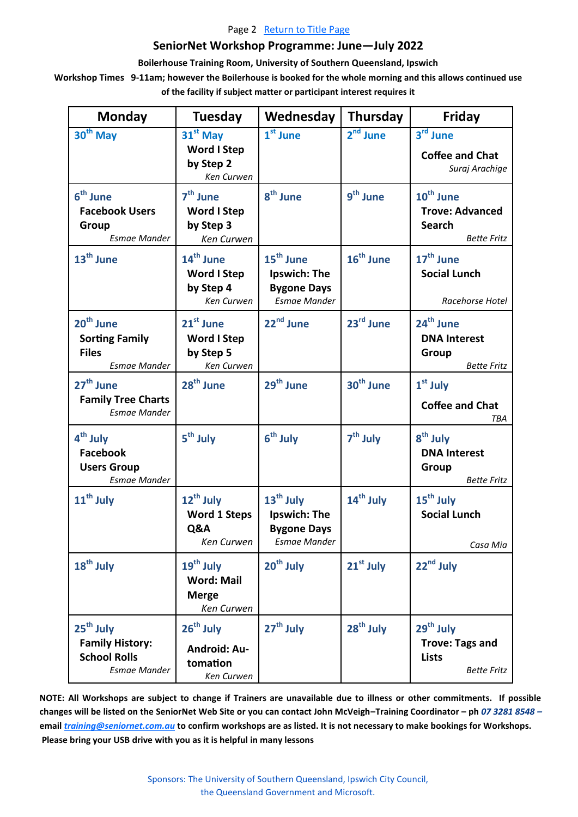#### Page 2 [Return to Title Page](#page-0-0)

#### **SeniorNet Workshop Programme: June—July 2022**

#### **Boilerhouse Training Room, University of Southern Queensland, Ipswich**

<span id="page-1-0"></span>**Workshop Times 9-11am; however the Boilerhouse is booked for the whole morning and this allows continued use of the facility if subject matter or participant interest requires it**

| <b>Monday</b>                                                                         | <b>Tuesday</b>                                                           | Wednesday                                                                                 | <b>Thursday</b>       | <b>Friday</b>                                                                          |
|---------------------------------------------------------------------------------------|--------------------------------------------------------------------------|-------------------------------------------------------------------------------------------|-----------------------|----------------------------------------------------------------------------------------|
| $30th$ May                                                                            | $31st$ May<br><b>Word I Step</b><br>by Step 2<br>Ken Curwen              | $1st$ June                                                                                | 2 <sup>nd</sup> June  | 3rd June<br><b>Coffee and Chat</b><br>Suraj Arachige                                   |
| 6 <sup>th</sup> June<br><b>Facebook Users</b><br>Group<br><b>Esmae Mander</b>         | $7th$ June<br><b>Word I Step</b><br>by Step 3<br>Ken Curwen              | 8 <sup>th</sup> June                                                                      | 9 <sup>th</sup> June  | 10 <sup>th</sup> June<br><b>Trove: Advanced</b><br><b>Search</b><br><b>Bette Fritz</b> |
| 13 <sup>th</sup> June                                                                 | $14^{\text{th}}$ June<br><b>Word I Step</b><br>by Step 4<br>Ken Curwen   | 15 <sup>th</sup> June<br>Ipswich: The<br><b>Bygone Days</b><br><b>Esmae Mander</b>        | 16 <sup>th</sup> June | $17th$ June<br><b>Social Lunch</b><br>Racehorse Hotel                                  |
| 20 <sup>th</sup> June<br><b>Sorting Family</b><br><b>Files</b><br><b>Esmae Mander</b> | $21st$ June<br><b>Word I Step</b><br>by Step 5<br>Ken Curwen             | 22 <sup>nd</sup> June                                                                     | $23rd$ June           | 24 <sup>th</sup> June<br><b>DNA Interest</b><br>Group<br><b>Bette Fritz</b>            |
| 27 <sup>th</sup> June<br><b>Family Tree Charts</b><br><b>Esmae Mander</b>             | 28 <sup>th</sup> June                                                    | 29 <sup>th</sup> June                                                                     | 30 <sup>th</sup> June | $1st$ July<br><b>Coffee and Chat</b><br><b>TBA</b>                                     |
| 4 <sup>th</sup> July<br><b>Facebook</b><br><b>Users Group</b><br><b>Esmae Mander</b>  | 5 <sup>th</sup> July                                                     | $6th$ July                                                                                | $7th$ July            | 8 <sup>th</sup> July<br><b>DNA Interest</b><br>Group<br><b>Bette Fritz</b>             |
| 11 <sup>th</sup> July                                                                 | 12 <sup>th</sup> July<br><b>Word 1 Steps</b><br>Q&A<br>Ken Curwen        | 13 <sup>th</sup> July<br><b>Ipswich: The</b><br><b>Bygone Days</b><br><b>Esmae Mander</b> | 14 <sup>th</sup> July | $15th$ July<br><b>Social Lunch</b><br>Casa Mia                                         |
| $18th$ July                                                                           | 19 <sup>th</sup> July<br><b>Word: Mail</b><br><b>Merge</b><br>Ken Curwen | $20th$ July                                                                               | $21st$ July           | 22 <sup>nd</sup> July                                                                  |
| $25th$ July<br><b>Family History:</b><br><b>School Rolls</b><br><b>Esmae Mander</b>   | $26th$ July<br><b>Android: Au-</b><br>tomation<br>Ken Curwen             | 27 <sup>th</sup> July                                                                     | $28th$ July           | 29 <sup>th</sup> July<br><b>Trove: Tags and</b><br><b>Lists</b><br><b>Bette Fritz</b>  |

**NOTE: All Workshops are subject to change if Trainers are unavailable due to illness or other commitments. If possible changes will be listed on the SeniorNet Web Site or you can contact John McVeigh–Training Coordinator – ph** *07 3281 8548 –* **email** *[training@seniornet.com.au](mailto:training@seniornet.com.au?subject=Workshops)* **to confirm workshops are as listed. It is not necessary to make bookings for Workshops. Please bring your USB drive with you as it is helpful in many lessons**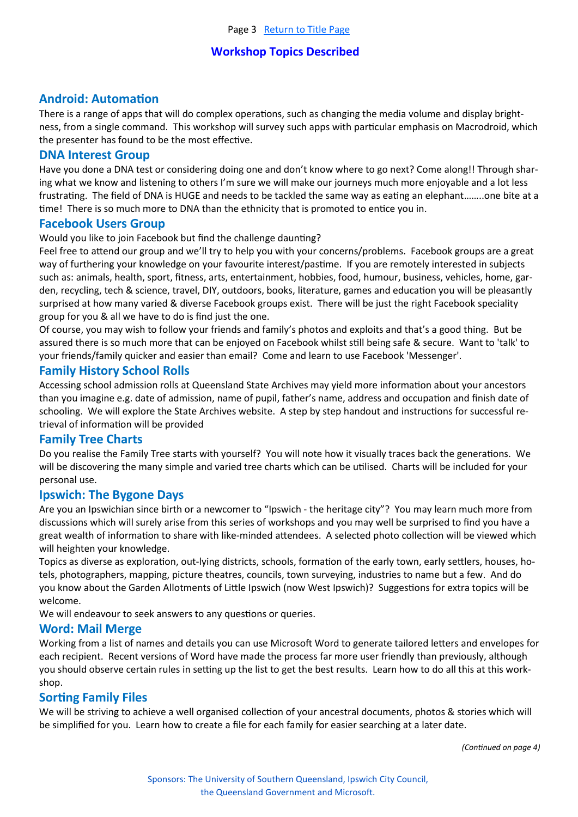#### **Workshop Topics Described**

#### **Android: Automation**

There is a range of apps that will do complex operations, such as changing the media volume and display brightness, from a single command. This workshop will survey such apps with particular emphasis on Macrodroid, which the presenter has found to be the most effective.

#### **DNA Interest Group**

Have you done a DNA test or considering doing one and don't know where to go next? Come along!! Through sharing what we know and listening to others I'm sure we will make our journeys much more enjoyable and a lot less frustrating. The field of DNA is HUGE and needs to be tackled the same way as eating an elephant……..one bite at a time! There is so much more to DNA than the ethnicity that is promoted to entice you in.

#### **Facebook Users Group**

Would you like to join Facebook but find the challenge daunting?

Feel free to attend our group and we'll try to help you with your concerns/problems. Facebook groups are a great way of furthering your knowledge on your favourite interest/pastime. If you are remotely interested in subjects such as: animals, health, sport, fitness, arts, entertainment, hobbies, food, humour, business, vehicles, home, garden, recycling, tech & science, travel, DIY, outdoors, books, literature, games and education you will be pleasantly surprised at how many varied & diverse Facebook groups exist. There will be just the right Facebook speciality group for you & all we have to do is find just the one.

Of course, you may wish to follow your friends and family's photos and exploits and that's a good thing. But be assured there is so much more that can be enjoyed on Facebook whilst still being safe & secure. Want to 'talk' to your friends/family quicker and easier than email? Come and learn to use Facebook 'Messenger'.

#### **Family History School Rolls**

Accessing school admission rolls at Queensland State Archives may yield more information about your ancestors than you imagine e.g. date of admission, name of pupil, father's name, address and occupation and finish date of schooling. We will explore the State Archives website. A step by step handout and instructions for successful retrieval of information will be provided

#### **Family Tree Charts**

Do you realise the Family Tree starts with yourself? You will note how it visually traces back the generations. We will be discovering the many simple and varied tree charts which can be utilised. Charts will be included for your personal use.

#### **Ipswich: The Bygone Days**

Are you an Ipswichian since birth or a newcomer to "Ipswich - the heritage city"? You may learn much more from discussions which will surely arise from this series of workshops and you may well be surprised to find you have a great wealth of information to share with like-minded attendees. A selected photo collection will be viewed which will heighten your knowledge.

Topics as diverse as exploration, out-lying districts, schools, formation of the early town, early settlers, houses, hotels, photographers, mapping, picture theatres, councils, town surveying, industries to name but a few. And do you know about the Garden Allotments of Little Ipswich (now West Ipswich)? Suggestions for extra topics will be welcome.

We will endeavour to seek answers to any questions or queries.

#### **Word: Mail Merge**

Working from a list of names and details you can use Microsoft Word to generate tailored letters and envelopes for each recipient. Recent versions of Word have made the process far more user friendly than previously, although you should observe certain rules in setting up the list to get the best results. Learn how to do all this at this workshop.

#### **Sorting Family Files**

We will be striving to achieve a well organised collection of your ancestral documents, photos & stories which will be simplified for you. Learn how to create a file for each family for easier searching at a later date.

*(Continued on page 4)*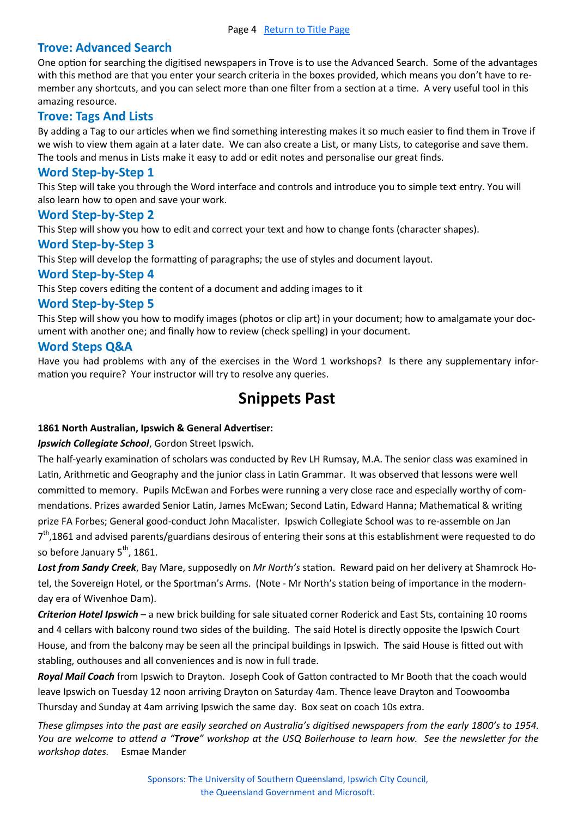#### <span id="page-3-0"></span>**Trove: Advanced Search**

One option for searching the digitised newspapers in Trove is to use the Advanced Search. Some of the advantages with this method are that you enter your search criteria in the boxes provided, which means you don't have to remember any shortcuts, and you can select more than one filter from a section at a time. A very useful tool in this amazing resource.

#### **Trove: Tags And Lists**

By adding a Tag to our articles when we find something interesting makes it so much easier to find them in Trove if we wish to view them again at a later date. We can also create a List, or many Lists, to categorise and save them. The tools and menus in Lists make it easy to add or edit notes and personalise our great finds.

#### **Word Step-by-Step 1**

This Step will take you through the Word interface and controls and introduce you to simple text entry. You will also learn how to open and save your work.

#### **Word Step-by-Step 2**

This Step will show you how to edit and correct your text and how to change fonts (character shapes).

#### **Word Step-by-Step 3**

This Step will develop the formatting of paragraphs; the use of styles and document layout.

#### **Word Step-by-Step 4**

This Step covers editing the content of a document and adding images to it

#### **Word Step-by-Step 5**

This Step will show you how to modify images (photos or clip art) in your document; how to amalgamate your document with another one; and finally how to review (check spelling) in your document.

#### **Word Steps Q&A**

Have you had problems with any of the exercises in the Word 1 workshops? Is there any supplementary information you require? Your instructor will try to resolve any queries.

## **Snippets Past**

#### **1861 North Australian, Ipswich & General Advertiser:**

#### *Ipswich Collegiate School*, Gordon Street Ipswich.

The half-yearly examination of scholars was conducted by Rev LH Rumsay, M.A. The senior class was examined in Latin, Arithmetic and Geography and the junior class in Latin Grammar. It was observed that lessons were well committed to memory. Pupils McEwan and Forbes were running a very close race and especially worthy of commendations. Prizes awarded Senior Latin, James McEwan; Second Latin, Edward Hanna; Mathematical & writing prize FA Forbes; General good-conduct John Macalister. Ipswich Collegiate School was to re-assemble on Jan 7<sup>th</sup>,1861 and advised parents/guardians desirous of entering their sons at this establishment were requested to do so before January 5<sup>th</sup>, 1861.

*Lost from Sandy Creek*, Bay Mare, supposedly on *Mr North's* station. Reward paid on her delivery at Shamrock Hotel, the Sovereign Hotel, or the Sportman's Arms. (Note - Mr North's station being of importance in the modernday era of Wivenhoe Dam).

*Criterion Hotel Ipswich* – a new brick building for sale situated corner Roderick and East Sts, containing 10 rooms and 4 cellars with balcony round two sides of the building. The said Hotel is directly opposite the Ipswich Court House, and from the balcony may be seen all the principal buildings in Ipswich. The said House is fitted out with stabling, outhouses and all conveniences and is now in full trade.

*Royal Mail Coach* from Ipswich to Drayton. Joseph Cook of Gatton contracted to Mr Booth that the coach would leave Ipswich on Tuesday 12 noon arriving Drayton on Saturday 4am. Thence leave Drayton and Toowoomba Thursday and Sunday at 4am arriving Ipswich the same day. Box seat on coach 10s extra.

*These glimpses into the past are easily searched on Australia's digitised newspapers from the early 1800's to 1954. You are welcome to attend a "Trove" workshop at the USQ Boilerhouse to learn how. See the newsletter for the workshop dates.* Esmae Mander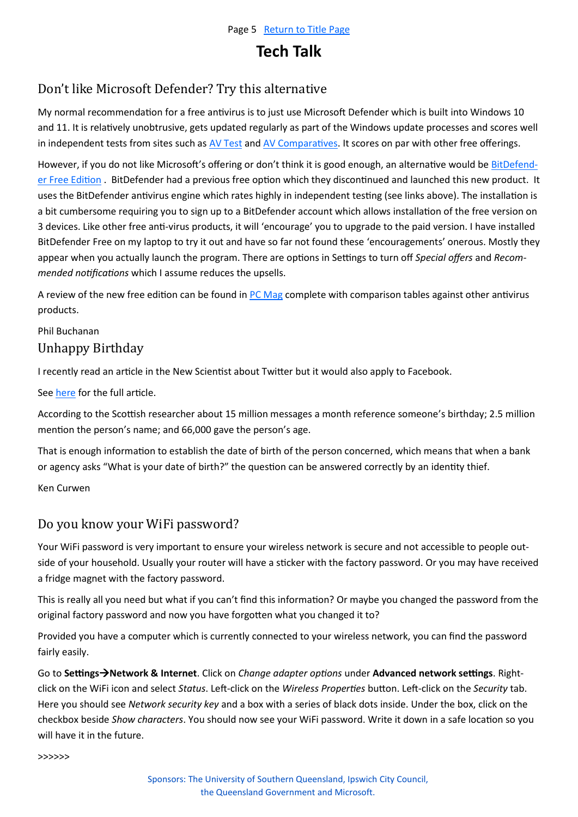## **Tech Talk**

## Don't like Microsoft Defender? Try this alternative

My normal recommendation for a free antivirus is to just use Microsoft Defender which is built into Windows 10 and 11. It is relatively unobtrusive, gets updated regularly as part of the Windows update processes and scores well in independent tests from sites such as [AV Test](https://www.av-test.org/en/) and [AV Comparatives.](https://www.av-comparatives.org/consumer/) It scores on par with other free offerings.

However, if you do not like Microsoft's offering or don't think it is good enough, an alternative would be [BitDefend](https://www.bitdefender.com.au/solutions/free.html)[er Free Edition](https://www.bitdefender.com.au/solutions/free.html) . BitDefender had a previous free option which they discontinued and launched this new product. It uses the BitDefender antivirus engine which rates highly in independent testing (see links above). The installation is a bit cumbersome requiring you to sign up to a BitDefender account which allows installation of the free version on 3 devices. Like other free anti-virus products, it will 'encourage' you to upgrade to the paid version. I have installed BitDefender Free on my laptop to try it out and have so far not found these 'encouragements' onerous. Mostly they appear when you actually launch the program. There are options in Settings to turn off *Special offers* and *Recommended notifications* which I assume reduces the upsells.

A review of the new free edition can be found in [PC Mag](https://www.pcmag.com/reviews/bitdefender-antivirus-free) complete with comparison tables against other antivirus products.

#### Phil Buchanan Unhappy Birthday

I recently read an article in the New Scientist about Twitter but it would also apply to Facebook.

See [here](https://www.newscientist.com/article/2306361-birthday-wishes-inadvertently-give-away-private-information-online/) for the full article.

According to the Scottish researcher about 15 million messages a month reference someone's birthday; 2.5 million mention the person's name; and 66,000 gave the person's age.

That is enough information to establish the date of birth of the person concerned, which means that when a bank or agency asks "What is your date of birth?" the question can be answered correctly by an identity thief.

Ken Curwen

### Do you know your WiFi password?

Your WiFi password is very important to ensure your wireless network is secure and not accessible to people outside of your household. Usually your router will have a sticker with the factory password. Or you may have received a fridge magnet with the factory password.

This is really all you need but what if you can't find this information? Or maybe you changed the password from the original factory password and now you have forgotten what you changed it to?

Provided you have a computer which is currently connected to your wireless network, you can find the password fairly easily.

Go to **Settings**→**Network & Internet**. Click on *Change adapter options* under **Advanced network settings**. Rightclick on the WiFi icon and select *Status*. Left-click on the *Wireless Properties* button. Left-click on the *Security* tab. Here you should see *Network security key* and a box with a series of black dots inside. Under the box, click on the checkbox beside *Show characters*. You should now see your WiFi password. Write it down in a safe location so you will have it in the future.

>>>>>>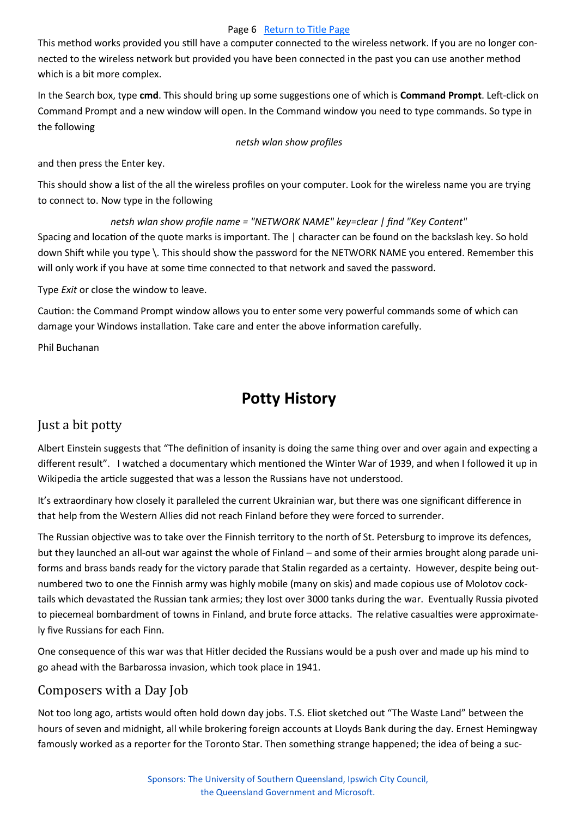#### Page 6 [Return to Title Page](#page-0-0)

<span id="page-5-0"></span>This method works provided you still have a computer connected to the wireless network. If you are no longer connected to the wireless network but provided you have been connected in the past you can use another method which is a bit more complex.

In the Search box, type **cmd**. This should bring up some suggestions one of which is **Command Prompt**. Left-click on Command Prompt and a new window will open. In the Command window you need to type commands. So type in the following

#### *netsh wlan show profiles*

and then press the Enter key.

This should show a list of the all the wireless profiles on your computer. Look for the wireless name you are trying to connect to. Now type in the following

*netsh wlan show profile name = "NETWORK NAME" key=clear | find "Key Content"*  Spacing and location of the quote marks is important. The | character can be found on the backslash key. So hold down Shift while you type \. This should show the password for the NETWORK NAME you entered. Remember this will only work if you have at some time connected to that network and saved the password.

Type *Exit* or close the window to leave.

Caution: the Command Prompt window allows you to enter some very powerful commands some of which can damage your Windows installation. Take care and enter the above information carefully.

Phil Buchanan

## **Potty History**

## Just a bit potty

Albert Einstein suggests that "The definition of insanity is doing the same thing over and over again and expecting a different result". I watched a documentary which mentioned the Winter War of 1939, and when I followed it up in Wikipedia the article suggested that was a lesson the Russians have not understood.

It's extraordinary how closely it paralleled the current Ukrainian war, but there was one significant difference in that help from the Western Allies did not reach Finland before they were forced to surrender.

The Russian objective was to take over the Finnish territory to the north of St. Petersburg to improve its defences, but they launched an all-out war against the whole of Finland – and some of their armies brought along parade uniforms and brass bands ready for the victory parade that Stalin regarded as a certainty. However, despite being outnumbered two to one the Finnish army was highly mobile (many on skis) and made copious use of Molotov cocktails which devastated the Russian tank armies; they lost over 3000 tanks during the war. Eventually Russia pivoted to piecemeal bombardment of towns in Finland, and brute force attacks. The relative casualties were approximately five Russians for each Finn.

One consequence of this war was that Hitler decided the Russians would be a push over and made up his mind to go ahead with the Barbarossa invasion, which took place in 1941.

## Composers with a Day Job

Not too long ago, artists would often hold down day jobs. T.S. Eliot sketched out "The Waste Land" between the hours of seven and midnight, all while brokering foreign accounts at Lloyds Bank during the day. Ernest Hemingway famously worked as a reporter for the Toronto Star. Then something strange happened; the idea of being a suc-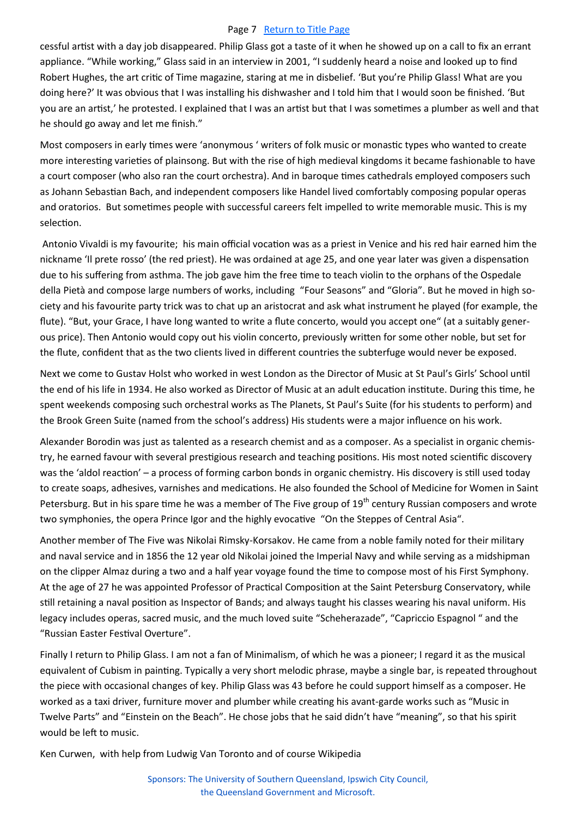#### Page 7 [Return to Title Page](#page-0-0)

cessful artist with a day job disappeared. Philip Glass got a taste of it when he showed up on a call to fix an errant appliance. "While working," Glass said in an interview in 2001, "I suddenly heard a noise and looked up to find Robert Hughes, the art critic of Time magazine, staring at me in disbelief. 'But you're Philip Glass! What are you doing here?' It was obvious that I was installing his dishwasher and I told him that I would soon be finished. 'But you are an artist,' he protested. I explained that I was an artist but that I was sometimes a plumber as well and that he should go away and let me finish."

Most composers in early times were 'anonymous ' writers of folk music or monastic types who wanted to create more interesting varieties of plainsong. But with the rise of high medieval kingdoms it became fashionable to have a court composer (who also ran the court orchestra). And in baroque times cathedrals employed composers such as Johann Sebastian Bach, and independent composers like Handel lived comfortably composing popular operas and oratorios. But sometimes people with successful careers felt impelled to write memorable music. This is my selection.

Antonio Vivaldi is my favourite; his main official vocation was as a priest in Venice and his red hair earned him the nickname 'Il prete rosso' (the red priest). He was ordained at age 25, and one year later was given a dispensation due to his suffering from asthma. The job gave him the free time to teach violin to the orphans of the Ospedale della Pietà and compose large numbers of works, including "Four Seasons" and "Gloria". But he moved in high society and his favourite party trick was to chat up an aristocrat and ask what instrument he played (for example, the flute). "But, your Grace, I have long wanted to write a flute concerto, would you accept one" (at a suitably generous price). Then Antonio would copy out his violin concerto, previously written for some other noble, but set for the flute, confident that as the two clients lived in different countries the subterfuge would never be exposed.

Next we come to Gustav Holst who worked in west London as the Director of Music at St Paul's Girls' School until the end of his life in 1934. He also worked as Director of Music at an adult education institute. During this time, he spent weekends composing such orchestral works as The Planets, St Paul's Suite (for his students to perform) and the Brook Green Suite (named from the school's address) His students were a major influence on his work.

Alexander Borodin was just as talented as a research chemist and as a composer. As a specialist in organic chemistry, he earned favour with several prestigious research and teaching positions. His most noted scientific discovery was the 'aldol reaction' – a process of forming carbon bonds in organic chemistry. His discovery is still used today to create soaps, adhesives, varnishes and medications. He also founded the School of Medicine for Women in Saint Petersburg. But in his spare time he was a member of The Five group of 19<sup>th</sup> century Russian composers and wrote two symphonies, the opera Prince Igor and the highly evocative "On the Steppes of Central Asia".

Another member of The Five was Nikolai Rimsky-Korsakov. He came from a noble family noted for their military and naval service and in 1856 the 12 year old Nikolai joined the Imperial Navy and while serving as a midshipman on the clipper Almaz during a two and a half year voyage found the time to compose most of his First Symphony. At the age of 27 he was appointed Professor of Practical Composition at the Saint Petersburg Conservatory, while still retaining a naval position as Inspector of Bands; and always taught his classes wearing his naval uniform. His legacy includes operas, sacred music, and the much loved suite "Scheherazade", "Capriccio Espagnol " and the "Russian Easter Festival Overture".

Finally I return to Philip Glass. I am not a fan of Minimalism, of which he was a pioneer; I regard it as the musical equivalent of Cubism in painting. Typically a very short melodic phrase, maybe a single bar, is repeated throughout the piece with occasional changes of key. Philip Glass was 43 before he could support himself as a composer. He worked as a taxi driver, furniture mover and plumber while creating his avant-garde works such as "Music in Twelve Parts" and "Einstein on the Beach". He chose jobs that he said didn't have "meaning", so that his spirit would be left to music.

Ken Curwen, with help from Ludwig Van Toronto and of course Wikipedia

Sponsors: The University of Southern Queensland, Ipswich City Council, the Queensland Government and Microsoft.